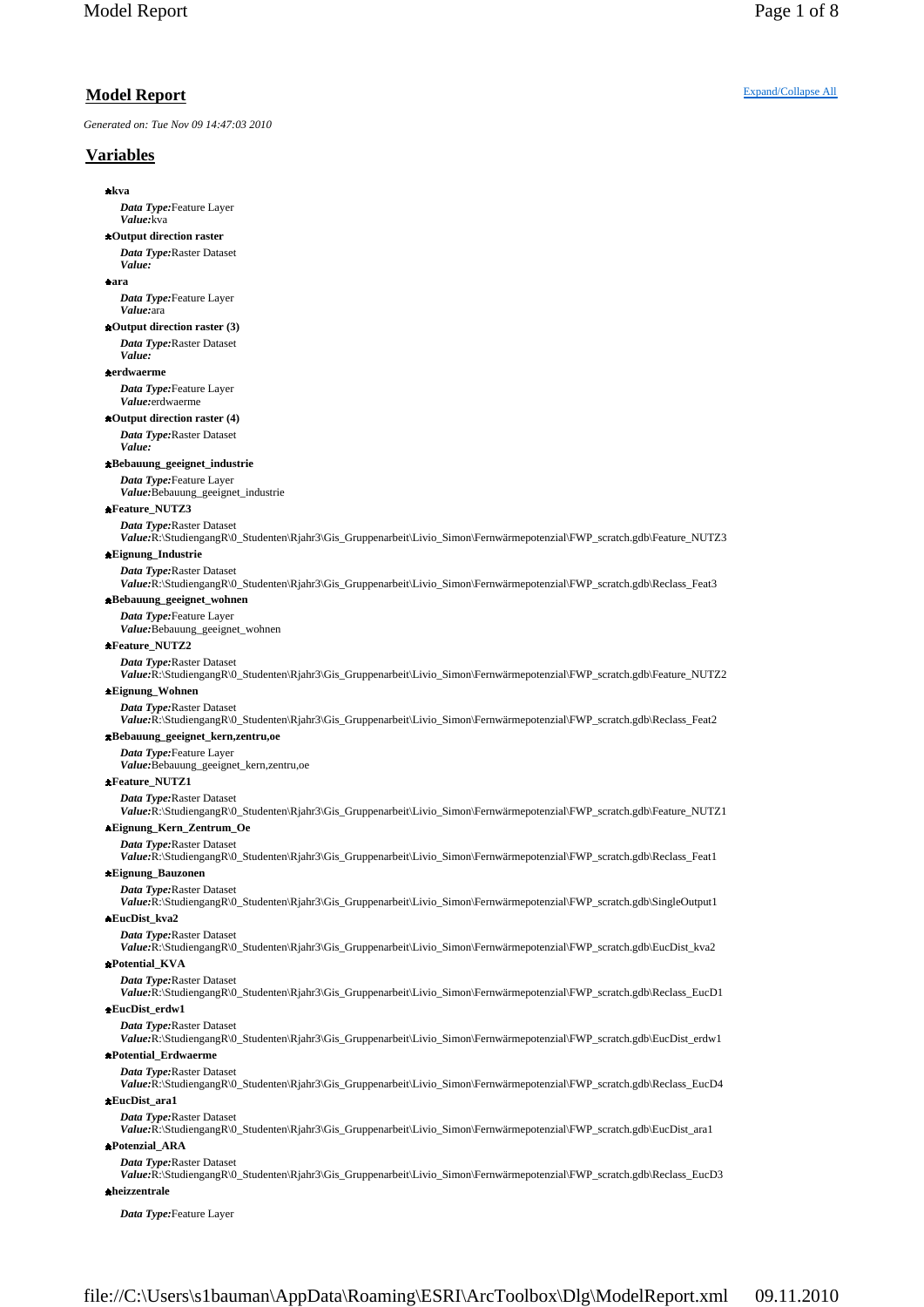*Generated on: Tue Nov 09 14:47:03 2010*

## **Variables**

**kva**

*Data Type:*Feature Layer

*Value:*kva **Output direction raster**

*Data Type:*Raster Dataset

#### *Value:* **ara**

*Data Type:*Feature Layer *Value:*ara

### **Output direction raster (3)**

*Data Type:*Raster Dataset *Value:*

### **erdwaerme**

*Data Type:*Feature Layer *Value:*erdwaerme

### **Output direction raster (4)**

*Data Type:*Raster Dataset *Value:*

### **Bebauung\_geeignet\_industrie**

*Data Type:*Feature Layer

*Value:*Bebauung\_geeignet\_industrie

### **Feature\_NUTZ3**

*Data Type:*Raster Dataset *Value:*R:\StudiengangR\0\_Studenten\Rjahr3\Gis\_Gruppenarbeit\Livio\_Simon\Fernwärmepotenzial\FWP\_scratch.gdb\Feature\_NUTZ3

### **Eignung\_Industrie**

*Data Type:*Raster Dataset

*Value:*R:\StudiengangR\0\_Studenten\Rjahr3\Gis\_Gruppenarbeit\Livio\_Simon\Fernwärmepotenzial\FWP\_scratch.gdb\Reclass\_Feat3 **Bebauung\_geeignet\_wohnen**

### *Data Type:*Feature Layer

*Value:*Bebauung\_geeignet\_wohnen

#### **Feature\_NUTZ2**

*Data Type:*Raster Dataset

*Value:*R:\StudiengangR\0\_Studenten\Rjahr3\Gis\_Gruppenarbeit\Livio\_Simon\Fernwärmepotenzial\FWP\_scratch.gdb\Feature\_NUTZ2 **Eignung\_Wohnen**

## *Data Type:*Raster Dataset

*Value:*R:\StudiengangR\0\_Studenten\Rjahr3\Gis\_Gruppenarbeit\Livio\_Simon\Fernwärmepotenzial\FWP\_scratch.gdb\Reclass\_Feat2 **Bebauung\_geeignet\_kern,zentru,oe**

### *Data Type:*Feature Layer

*Value:*Bebauung\_geeignet\_kern,zentru,oe

### **Feature\_NUTZ1**

*Data Type:*Raster Dataset

*Value:*R:\StudiengangR\0\_Studenten\Rjahr3\Gis\_Gruppenarbeit\Livio\_Simon\Fernwärmepotenzial\FWP\_scratch.gdb\Feature\_NUTZ1

### **Eignung\_Kern\_Zentrum\_Oe**

*Data Type: Raster Dataset Value:*R:\StudiengangR\0\_Studenten\Rjahr3\Gis\_Gruppenarbeit\Livio\_Simon\Fernwärmepotenzial\FWP\_scratch.gdb\Reclass\_Feat1

### **Eignung\_Bauzonen**

*Data Type:*Raster Dataset

*Value:*R:\StudiengangR\0\_Studenten\Rjahr3\Gis\_Gruppenarbeit\Livio\_Simon\Fernwärmepotenzial\FWP\_scratch.gdb\SingleOutput1 **EucDist\_kva2**

### *Data Type:*Raster Dataset

*Value:*R:\StudiengangR\0\_Studenten\Rjahr3\Gis\_Gruppenarbeit\Livio\_Simon\Fernwärmepotenzial\FWP\_scratch.gdb\EucDist\_kva2 **Potential\_KVA**

*Data Type:*Raster Dataset

*Value:*R:\StudiengangR\0\_Studenten\Rjahr3\Gis\_Gruppenarbeit\Livio\_Simon\Fernwärmepotenzial\FWP\_scratch.gdb\Reclass\_EucD1 **EucDist\_erdw1**

*Data Type:*Raster Dataset

*Value:*R:\StudiengangR\0\_Studenten\Rjahr3\Gis\_Gruppenarbeit\Livio\_Simon\Fernwärmepotenzial\FWP\_scratch.gdb\EucDist\_erdw1

### **Potential\_Erdwaerme**

*Data Type:*Raster Dataset

*Value:*R:\StudiengangR\0\_Studenten\Rjahr3\Gis\_Gruppenarbeit\Livio\_Simon\Fernwärmepotenzial\FWP\_scratch.gdb\Reclass\_EucD4 **EucDist\_ara1**

### *Data Type:*Raster Dataset

*Value:*R:\StudiengangR\0\_Studenten\Rjahr3\Gis\_Gruppenarbeit\Livio\_Simon\Fernwärmepotenzial\FWP\_scratch.gdb\EucDist\_ara1 **Potenzial\_ARA**

## *Data Type:*Raster Dataset

*Value:*R:\StudiengangR\0\_Studenten\Rjahr3\Gis\_Gruppenarbeit\Livio\_Simon\Fernwärmepotenzial\FWP\_scratch.gdb\Reclass\_EucD3 **heizzentrale**

*Data Type:*Feature Layer

### **Model Report** Expand/Collapse All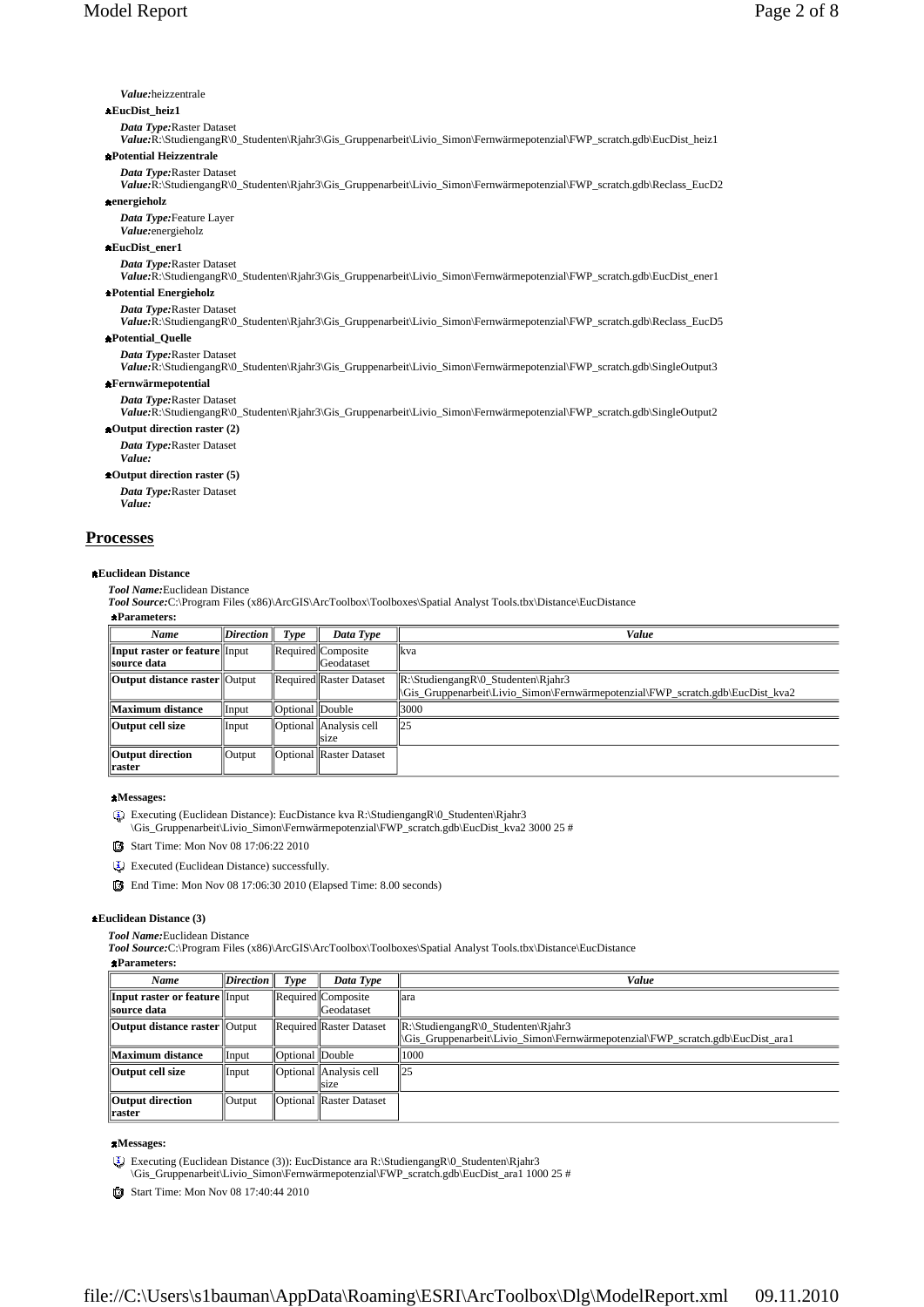### *Value:*heizzentrale

### **EucDist\_heiz1**

*Data Type:*Raster Dataset

*Value:*R:\StudiengangR\0\_Studenten\Rjahr3\Gis\_Gruppenarbeit\Livio\_Simon\Fernwärmepotenzial\FWP\_scratch.gdb\EucDist\_heiz1 **Potential Heizzentrale**

### *Data Type:*Raster Dataset

*Value:*R:\StudiengangR\0\_Studenten\Rjahr3\Gis\_Gruppenarbeit\Livio\_Simon\Fernwärmepotenzial\FWP\_scratch.gdb\Reclass\_EucD2

### **energieholz**

*Data Type:*Feature Layer *Value:*energieholz

### **EucDist\_ener1**

*Data Type:*Raster Dataset

*Value:*R:\StudiengangR\0\_Studenten\Rjahr3\Gis\_Gruppenarbeit\Livio\_Simon\Fernwärmepotenzial\FWP\_scratch.gdb\EucDist\_ener1

### **Potential Energieholz**

*Data Type:*Raster Dataset

*Value:*R:\StudiengangR\0\_Studenten\Rjahr3\Gis\_Gruppenarbeit\Livio\_Simon\Fernwärmepotenzial\FWP\_scratch.gdb\Reclass\_EucD5 **Potential\_Quelle**

### *Data Type:*Raster Dataset

*Value:*R:\StudiengangR\0\_Studenten\Rjahr3\Gis\_Gruppenarbeit\Livio\_Simon\Fernwärmepotenzial\FWP\_scratch.gdb\SingleOutput3 **Fernwärmepotential**

### *Data Type:*Raster Dataset

*Value:*R:\StudiengangR\0\_Studenten\Rjahr3\Gis\_Gruppenarbeit\Livio\_Simon\Fernwärmepotenzial\FWP\_scratch.gdb\SingleOutput2 **Output direction raster (2)**

#### *Data Type:*Raster Dataset

*Value:*

### **Output direction raster (5)**

*Data Type:*Raster Dataset *Value:*

### **Processes**

#### **Euclidean Distance**

*Tool Name:*Euclidean Distance

*Tool Source:*C:\Program Files (x86)\ArcGIS\ArcToolbox\Toolboxes\Spatial Analyst Tools.tbx\Distance\EucDistance

**Parameters:**

| Name                                                       | <i>Direction</i> | Type            | Data Type                                 | Value                                                                                                                           |
|------------------------------------------------------------|------------------|-----------------|-------------------------------------------|---------------------------------------------------------------------------------------------------------------------------------|
| <b>Input raster or feature</b> Input<br><b>source data</b> |                  |                 | Required  Composite <br><b>Geodataset</b> | kva                                                                                                                             |
| <b>Output distance raster</b> Output                       |                  |                 | Required Raster Dataset                   | $\mathbb{R}$ :\StudiengangR\0_Studenten\Rjahr3<br>Gis Gruppenarbeit\Livio Simon\Fernwärmepotenzial\FWP scratch.gdb\EucDist kva2 |
| Maximum distance                                           | Input            | Optional Double |                                           | 3000                                                                                                                            |
| Output cell size                                           | Input            |                 | Optional   Analysis cell <br>size         | 25                                                                                                                              |
| Output direction<br>raster                                 | Output           |                 | Optional Raster Dataset                   |                                                                                                                                 |

#### **Messages:**

Executing (Euclidean Distance): EucDistance kva R:\StudiengangR\0\_Studenten\Rjahr3

\Gis\_Gruppenarbeit\Livio\_Simon\Fernwärmepotenzial\FWP\_scratch.gdb\EucDist\_kva2 3000 25 #

Start Time: Mon Nov 08 17:06:22 2010

Executed (Euclidean Distance) successfully.

End Time: Mon Nov 08 17:06:30 2010 (Elapsed Time: 8.00 seconds)

### **Euclidean Distance (3)**

*Tool Name:*Euclidean Distance

*Tool Source:*C:\Program Files (x86)\ArcGIS\ArcToolbox\Toolboxes\Spatial Analyst Tools.tbx\Distance\EucDistance

### **Parameters:**

| Name                                           | $Direction \parallel$ | Type              | Data Type                         | Value                                                                                                                                                                      |
|------------------------------------------------|-----------------------|-------------------|-----------------------------------|----------------------------------------------------------------------------------------------------------------------------------------------------------------------------|
| Input raster or feature Input<br>  source data |                       |                   | Required  Composite<br>Geodataset | lara                                                                                                                                                                       |
| <b>Output distance raster Output</b>           |                       |                   | Required Raster Dataset           | $\mathbb{R}:\$ Studiengang $\mathbb{R}\setminus\mathbb{C}$ Studenten $\mathbb{R}$ jahr3<br>  Gis_Gruppenarbeit Livio_Simon Fernwärmepotenzial FWP_scratch.gdb EucDist ara1 |
| Maximum distance                               | Input                 | Optional   Double |                                   | 1000                                                                                                                                                                       |
| Output cell size                               | Input                 |                   | Optional Analysis cell<br>size    | 125                                                                                                                                                                        |
| Output direction<br>  raster                   | Output                |                   | Optional   Raster Dataset         |                                                                                                                                                                            |

### **Messages:**

- Executing (Euclidean Distance (3)): EucDistance ara R:\StudiengangR\0\_Studenten\Rjahr3 \Gis\_Gruppenarbeit\Livio\_Simon\Fernwärmepotenzial\FWP\_scratch.gdb\EucDist\_ara1 1000 25 #
- Start Time: Mon Nov 08 17:40:44 2010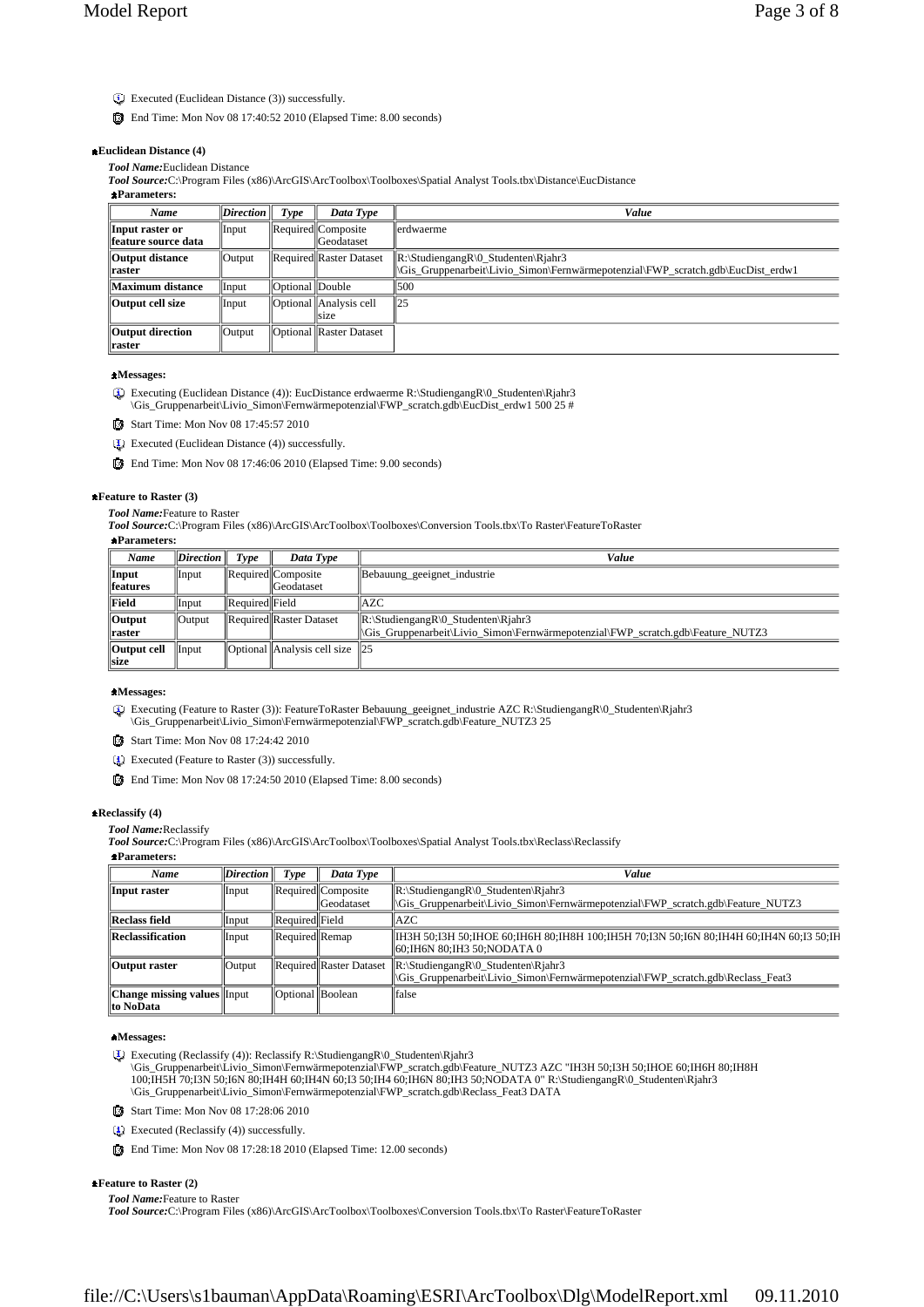- Executed (Euclidean Distance (3)) successfully.
- End Time: Mon Nov 08 17:40:52 2010 (Elapsed Time: 8.00 seconds)

### **Euclidean Distance (4)**

*Tool Name:*Euclidean Distance

*Tool Source:*C:\Program Files (x86)\ArcGIS\ArcToolbox\Toolboxes\Spatial Analyst Tools.tbx\Distance\EucDistance

**Parameters:** *Name Direction Type Data Type Value* **Input raster or feature source data** Input Required Composite **Geodataset** erdwaerme **Output distance raster** Output Required Raster Dataset R:\StudiengangR\0\_Studenten\Rjahr3 \Gis\_Gruppenarbeit\Livio\_Simon\Fernwärmepotenzial\FWP\_scratch.gdb\EucDist\_erdw1 **Maximum distance** Input Optional Double 500 **Output cell size I**nput **Optional** Analysis cell size 25 **Output direction raster** Output **Optional Raster Dataset** 

### **Messages:**

Executing (Euclidean Distance (4)): EucDistance erdwaerme R:\StudiengangR\0\_Studenten\Rjahr3 \Gis\_Gruppenarbeit\Livio\_Simon\Fernwärmepotenzial\FWP\_scratch.gdb\EucDist\_erdw1 500 25 #

- Start Time: Mon Nov 08 17:45:57 2010
- Executed (Euclidean Distance (4)) successfully.
- End Time: Mon Nov 08 17:46:06 2010 (Elapsed Time: 9.00 seconds)

#### **Feature to Raster (3)**

*Tool Name:*Feature to Raster

*Tool Source:*C:\Program Files (x86)\ArcGIS\ArcToolbox\Toolboxes\Conversion Tools.tbx\To Raster\FeatureToRaster

### **Parameters:**

| Name                        | $\vert$ <i>Direction</i> $\vert$ | Type                  | Data Type                                                      | Value                                                                                                                                                                      |
|-----------------------------|----------------------------------|-----------------------|----------------------------------------------------------------|----------------------------------------------------------------------------------------------------------------------------------------------------------------------------|
| Input<br><i>features</i>    | Input                            |                       | Required  Composite<br>Geodataset                              | Bebauung geeignet industrie                                                                                                                                                |
| Field                       | <i>llnput</i>                    | <b>Required Field</b> |                                                                | <b>AZC</b>                                                                                                                                                                 |
| <b>Output</b><br>  raster   | $\sqrt{\frac{1}{10}}$            |                       | Required Raster Dataset                                        | $\mathbb{R}\setminus$ Studiengang $\mathbb{R}\setminus 0$ _Studenten $\mathbb{R}$ jahr3<br>\Gis Gruppenarbeit\Livio Simon\Fernwärmepotenzial\FWP scratch.gdb\Feature NUTZ3 |
| Output cell<br><b>Isize</b> | Input                            |                       | $\vert$ Optional $\vert$ Analysis cell size $\vert$ $\vert$ 25 |                                                                                                                                                                            |

### **Messages:**

Executing (Feature to Raster (3)): FeatureToRaster Bebauung\_geeignet\_industrie AZC R:\StudiengangR\0\_Studenten\Rjahr3 \Gis\_Gruppenarbeit\Livio\_Simon\Fernwärmepotenzial\FWP\_scratch.gdb\Feature\_NUTZ3 25

Start Time: Mon Nov 08 17:24:42 2010

Executed (Feature to Raster (3)) successfully.

End Time: Mon Nov 08 17:24:50 2010 (Elapsed Time: 8.00 seconds)

#### **Reclassify (4)**

*Tool Name:*Reclassify

*Tool Source:*C:\Program Files (x86)\ArcGIS\ArcToolbox\Toolboxes\Spatial Analyst Tools.tbx\Reclass\Reclassify

### **Parameters:**

| Name                                             | Direction     | Type                  | Data Type                                 | Value                                                                                                                                                            |
|--------------------------------------------------|---------------|-----------------------|-------------------------------------------|------------------------------------------------------------------------------------------------------------------------------------------------------------------|
| Input raster                                     | Input         |                       | Required  Composite<br><b>IGeodataset</b> | $\mathbb{R}\setminus$ StudiengangR $\setminus$ O_Studenten $\setminus$ Rjahr3<br> Gis Gruppenarbeit Livio Simon Fernwärmepotenzial FWP scratch.gdb Feature NUTZ3 |
| Reclass field                                    | Input         | Required Field        |                                           | <b>AZC</b>                                                                                                                                                       |
| <b>Reclassification</b>                          | Input         | <b>Required Remap</b> |                                           | IH3H 50;I3H 50;IHOE 60;IH6H 80;IH8H 100;IH5H 70;I3N 50;I6N 80;IH4H 60;IH4N 60;I3 50;IH<br>  60;IH6N 80;IH3 50;NODATA 0                                           |
| <b>Output raster</b>                             | <b>Output</b> |                       | Required  Raster Dataset                  | $\mathbb{R}\setminus \text{Studenten}\$<br>\Gis Gruppenarbeit\Livio Simon\Fernwärmepotenzial\FWP scratch.gdb\Reclass Feat3                                       |
| <b>Change missing values</b> Input<br>∥to NoData |               | Optional Boolean      |                                           | false                                                                                                                                                            |

### **Messages:**

Executing (Reclassify (4)): Reclassify R:\StudiengangR\0\_Studenten\Rjahr3 \Gis\_Gruppenarbeit\Livio\_Simon\Fernwärmepotenzial\FWP\_scratch.gdb\Feature\_NUTZ3 AZC "IH3H 50;I3H 50;IHOE 60;IH6H 80;IH8H 100;IH5H 70;I3N 50;I6N 80;IH4H 60;IH4N 60;I3 50;IH4 60;IH6N 80;IH3 50;NODATA 0" R:\StudiengangR\0\_Studenten\Rjahr3 \Gis\_Gruppenarbeit\Livio\_Simon\Fernwärmepotenzial\FWP\_scratch.gdb\Reclass\_Feat3 DATA

- Start Time: Mon Nov 08 17:28:06 2010
- Executed (Reclassify (4)) successfully.
- End Time: Mon Nov 08 17:28:18 2010 (Elapsed Time: 12.00 seconds)

### **Feature to Raster (2)**

*Tool Name:*Feature to Raster

*Tool Source:*C:\Program Files (x86)\ArcGIS\ArcToolbox\Toolboxes\Conversion Tools.tbx\To Raster\FeatureToRaster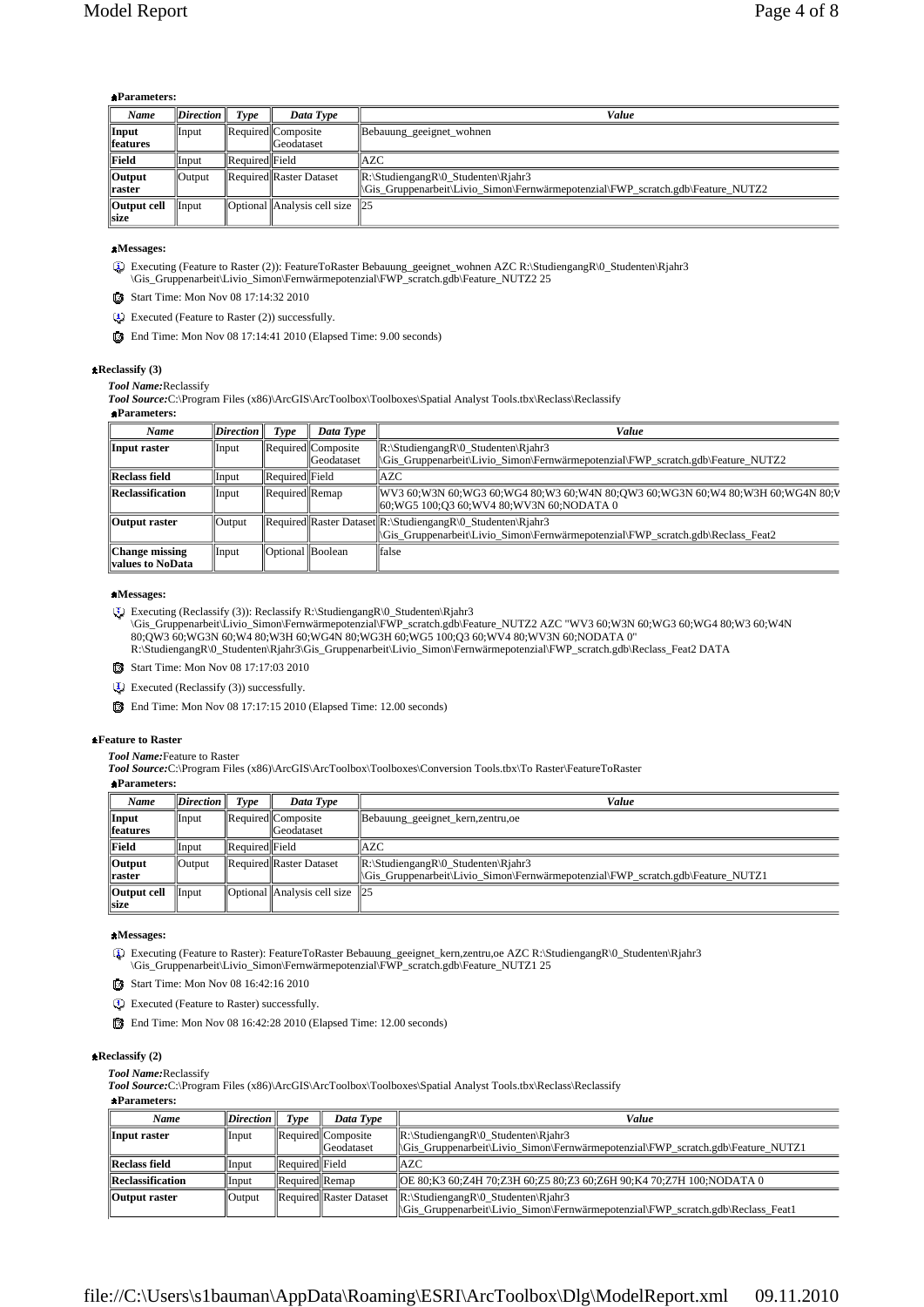### **Parameters:**

| Name        | $\vert$ <i>Direction</i> $\vert$ | Type           | Data Type                                              | Value                                                                                   |
|-------------|----------------------------------|----------------|--------------------------------------------------------|-----------------------------------------------------------------------------------------|
| Input       | Input                            |                | Required  Composite                                    | Bebauung geeignet wohnen                                                                |
| features    |                                  |                | Geodataset                                             |                                                                                         |
| Field       | Input                            | Required Field |                                                        | <b>AZC</b>                                                                              |
| Output      | Output                           |                | Required Raster Dataset                                | $\mathbb{R}\setminus$ Studiengang $\mathbb{R}\setminus 0$ _Studenten $\mathbb{R}$ jahr3 |
| raster      |                                  |                |                                                        | Gis Gruppenarbeit\Livio Simon\Fernwärmepotenzial\FWP scratch.gdb\Feature NUTZ2          |
| Output cell | Input                            |                | $\vert$ Optional $\vert$ Analysis cell size $\vert$ 25 |                                                                                         |
| size        |                                  |                |                                                        |                                                                                         |

### **Messages:**

Executing (Feature to Raster (2)): FeatureToRaster Bebauung\_geeignet\_wohnen AZC R:\StudiengangR\0\_Studenten\Rjahr3 \Gis\_Gruppenarbeit\Livio\_Simon\Fernwärmepotenzial\FWP\_scratch.gdb\Feature\_NUTZ2 25

Start Time: Mon Nov 08 17:14:32 2010

Executed (Feature to Raster (2)) successfully.

End Time: Mon Nov 08 17:14:41 2010 (Elapsed Time: 9.00 seconds)

### **Reclassify (3)**

*Tool Name:*Reclassify

*Tool Source:*C:\Program Files (x86)\ArcGIS\ArcToolbox\Toolboxes\Spatial Analyst Tools.tbx\Reclass\Reclassify

| <b>*Parameters:</b>                              |                  |                  |                                          |                                                                                                                                                                    |
|--------------------------------------------------|------------------|------------------|------------------------------------------|--------------------------------------------------------------------------------------------------------------------------------------------------------------------|
| Name                                             | $\bm{Direction}$ | Type             | Data Type                                | Value                                                                                                                                                              |
| Input raster                                     | Input            |                  | Required  Composite<br><b>Geodataset</b> | $\mathbb{R}:\$ Studiengang $\mathbb{R}\setminus 0$ _Studenten $\mathrm{R}$ jahr3<br>Gis Gruppenarbeit\Livio Simon\Fernwärmepotenzial\FWP scratch.gdb\Feature NUTZ2 |
| <b>Reclass field</b>                             | Input            | Required Field   |                                          | IAZC                                                                                                                                                               |
| Reclassification                                 | Input            | Required Remap   |                                          | WV3 60;W3N 60;WG3 60;WG4 80;W3 60;W4N 80;OW3 60;WG3N 60;W4 80;W3H 60;WG4N 80;V<br>60;WG5 100;O3 60;WV4 80;WV3N 60;NODATA 0                                         |
| Output raster                                    | Output           |                  |                                          | Required  Raster Dataset  R:\StudiengangR\0 Studenten\Right3<br>\Gis Gruppenarbeit\Livio Simon\Fernwärmepotenzial\FWP scratch.gdb\Reclass Feat2                    |
| <b>Change missing</b><br><b>values to NoData</b> | Input            | Optional Boolean |                                          | <b>false</b>                                                                                                                                                       |

### **Messages:**

Executing (Reclassify (3)): Reclassify R:\StudiengangR\0\_Studenten\Rjahr3

\Gis\_Gruppenarbeit\Livio\_Simon\Fernwärmepotenzial\FWP\_scratch.gdb\Feature\_NUTZ2 AZC "WV3 60;W3N 60;WG3 60;WG4 80;W3 60;W4N 80;QW3 60;WG3N 60;W4 80;W3H 60;WG4N 80;WG3H 60;WG5 100;Q3 60;WV4 80;WV3N 60;NODATA 0" R:\StudiengangR\0\_Studenten\Rjahr3\Gis\_Gruppenarbeit\Livio\_Simon\Fernwärmepotenzial\FWP\_scratch.gdb\Reclass\_Feat2 DATA

- Start Time: Mon Nov 08 17:17:03 2010
- Executed (Reclassify (3)) successfully.
- End Time: Mon Nov 08 17:17:15 2010 (Elapsed Time: 12.00 seconds)

### **Feature to Raster**

*Tool Name:*Feature to Raster

*Tool Source:*C:\Program Files (x86)\ArcGIS\ArcToolbox\Toolboxes\Conversion Tools.tbx\To Raster\FeatureToRaster

### **Parameters:**

| Name                           | $\mathbf{Direction}$ | Type            | Data Type                      | Value                                                                                   |
|--------------------------------|----------------------|-----------------|--------------------------------|-----------------------------------------------------------------------------------------|
| Input                          | Input                |                 | <b>Required</b> Composite      | Bebauung_geeignet_kern,zentru,oe                                                        |
| <i><u><b>Ifeatures</b></u></i> |                      |                 | Geodataset                     |                                                                                         |
| Field                          | Input                | Required  Field |                                | <b>AZC</b>                                                                              |
| <b>Output</b>                  | <i><b>Output</b></i> |                 | Required Raster Dataset        | $\mathbb{R}\setminus$ Studiengang $\mathbb{R}\setminus 0$ _Studenten $\mathbb{R}$ jahr3 |
| <b>Traster</b>                 |                      |                 |                                | Gis Gruppenarbeit Livio Simon Fernwärmepotenzial FWP scratch.gdb Feature NUTZ1          |
| Output cell                    | Input                |                 | Optional Analysis cell size 25 |                                                                                         |
| size                           |                      |                 |                                |                                                                                         |

### **Messages:**

Executing (Feature to Raster): FeatureToRaster Bebauung\_geeignet\_kern,zentru,oe AZC R:\StudiengangR\0\_Studenten\Rjahr3 \Gis\_Gruppenarbeit\Livio\_Simon\Fernwärmepotenzial\FWP\_scratch.gdb\Feature\_NUTZ1 25

- Start Time: Mon Nov 08 16:42:16 2010
- Executed (Feature to Raster) successfully.
- End Time: Mon Nov 08 16:42:28 2010 (Elapsed Time: 12.00 seconds)

### **Reclassify (2)**

*Tool Name:*Reclassify

*Tool Source:*C:\Program Files (x86)\ArcGIS\ArcToolbox\Toolboxes\Spatial Analyst Tools.tbx\Reclass\Reclassify

**Parameters:**

| Name                 | Direction    | Type            | Data Type                                 | Value                                                                                                                                                                       |
|----------------------|--------------|-----------------|-------------------------------------------|-----------------------------------------------------------------------------------------------------------------------------------------------------------------------------|
| Input raster         | Input        |                 | Required  Composite<br><b>C</b> eodataset | $\mathbb{R}\setminus$ Studiengang $\mathbb{R}\setminus 0$ _Studenten $\mathbb{R}$ jahr3<br>  Gis_Gruppenarbeit Livio_Simon Fernwärmepotenzial FWP_scratch.gdb Feature_NUTZ1 |
| <b>Reclass field</b> | Input        | Required  Field |                                           | AZC                                                                                                                                                                         |
| Reclassification     | <b>Input</b> | Required Remap  |                                           | OE 80;K3 60;Z4H 70;Z3H 60;Z5 80;Z3 60;Z6H 90;K4 70;Z7H 100;NODATA 0                                                                                                         |
| <b>Output raster</b> | Output       |                 | Required Raster Dataset                   | $\mathbb{R}\setminus\text{Studenten}\$<br>  Gis_Gruppenarbeit\Livio_Simon\Fernwärmepotenzial\FWP_scratch.gdb\Reclass_Feat1                                                  |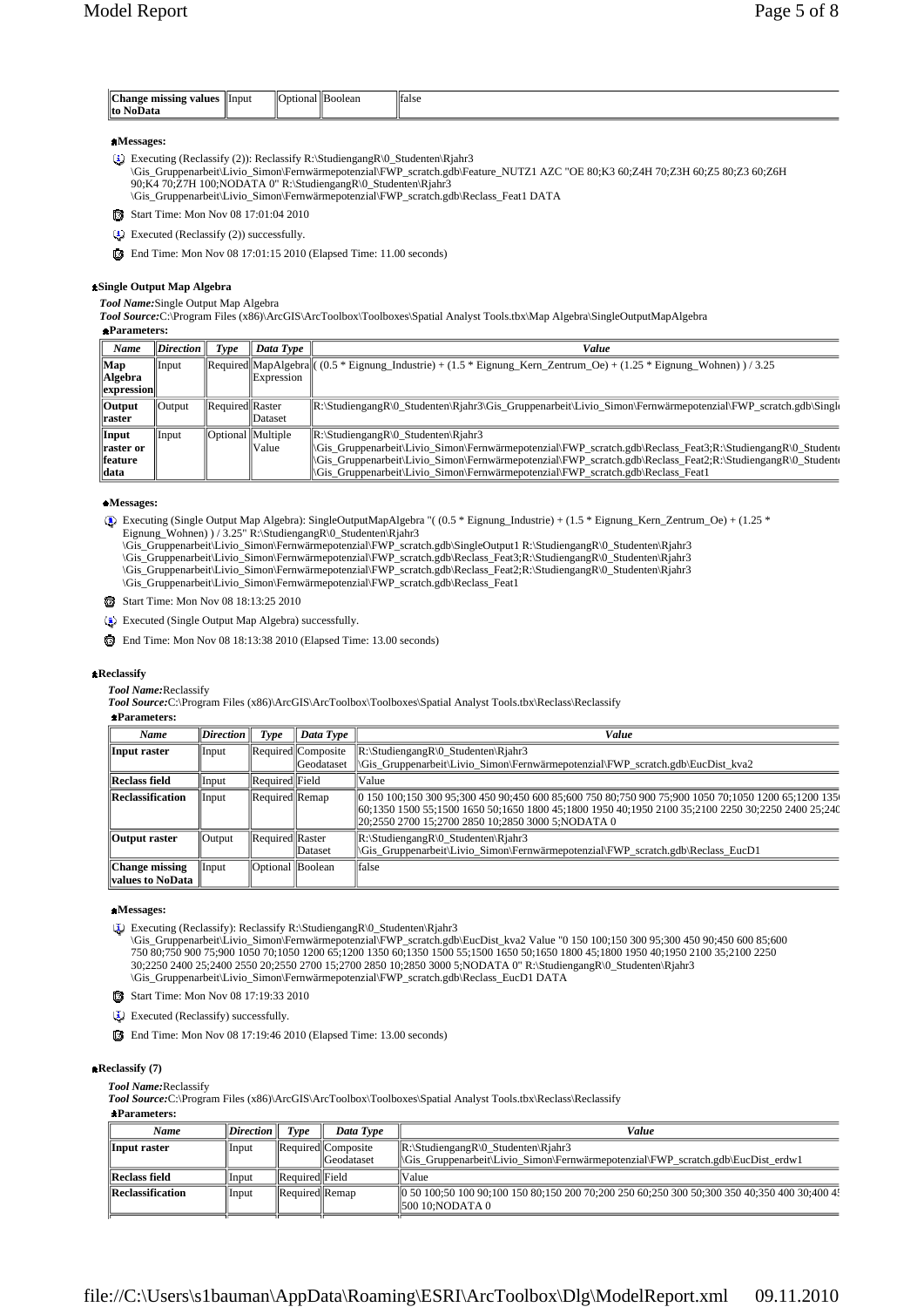| <sup>1</sup> Change<br>: missing values<br>. .<br>. | Input | ⊩⊂<br>ptiona.<br>שוו | "Boolean" | <b>Ifalse</b> |
|-----------------------------------------------------|-------|----------------------|-----------|---------------|
| to NoD                                              |       |                      |           |               |

### **Messages:**

- Executing (Reclassify (2)): Reclassify R:\StudiengangR\0\_Studenten\Rjahr3
- \Gis\_Gruppenarbeit\Livio\_Simon\Fernwärmepotenzial\FWP\_scratch.gdb\Feature\_NUTZ1 AZC "OE 80;K3 60;Z4H 70;Z3H 60;Z5 80;Z3 60;Z6H 90;K4 70;Z7H 100;NODATA 0" R:\StudiengangR\0\_Studenten\Rjahr3
	- \Gis\_Gruppenarbeit\Livio\_Simon\Fernwärmepotenzial\FWP\_scratch.gdb\Reclass\_Feat1 DATA
- Start Time: Mon Nov 08 17:01:04 2010
- Executed (Reclassify (2)) successfully.
- End Time: Mon Nov 08 17:01:15 2010 (Elapsed Time: 11.00 seconds)

#### **Single Output Map Algebra**

*Tool Name:*Single Output Map Algebra

*Tool Source:*C:\Program Files (x86)\ArcGIS\ArcToolbox\Toolboxes\Spatial Analyst Tools.tbx\Map Algebra\SingleOutputMapAlgebra **Parameters:**

| Name                  | $\mathbf{Direction}$ | Tvpe                | Data Type    | Value                                                                                                                                                                                                                                         |
|-----------------------|----------------------|---------------------|--------------|-----------------------------------------------------------------------------------------------------------------------------------------------------------------------------------------------------------------------------------------------|
| Map                   | Input                |                     |              | $\text{Recuireed}$   MapAlgebra  ((0.5 * Eignung_Industrie) + (1.5 * Eignung_Kern_Zentrum_Oe) + (1.25 * Eignung_Wohnen)) / 3.25                                                                                                               |
| Algebra               |                      |                     | Expression   |                                                                                                                                                                                                                                               |
| expression            |                      |                     |              |                                                                                                                                                                                                                                               |
| $\sqrt{\frac{1}{10}}$ | <b>Output</b>        | Required  Raster    |              | $\mathbb{R}\setminus\text{StudiengangR}\setminus\text{Studenten}\setminus\text{Rjahr3}\setminus\text{Gruppenarbeit}\cup\text{Livio_Simon}\text{Fernwärmepotenzial}\setminus\text{FWP_Scratch.gdb}\setminus\text{Singlo}\setminus\text{Grugb}$ |
| ∥raster               |                      |                     | Dataset      |                                                                                                                                                                                                                                               |
| Input                 | Input                | Optional   Multiple |              | $\mathbb{R}$ :\StudiengangR\0 Studenten\Rjahr3                                                                                                                                                                                                |
| raster or             |                      |                     | <b>Value</b> | Gis_Gruppenarbeit\Livio_Simon\Fernwärmepotenzial\FWP_scratch.gdb\Reclass_Feat3;R:\StudiengangR\0_Studentel\Fund{\frac{\frac{\frac{\frac{\frac{\frac{\frac{\frac{\frac{\frac{\frac{\frac{\frac{\frac{\frac{\frac{\frac{\frac{\f                |
| feature               |                      |                     |              | Gis_Gruppenarbeit\Livio_Simon\Fernwärmepotenzial\FWP_scratch.gdb\Reclass_Feat2;R:\StudiengangR\0_Studente\]                                                                                                                                   |
| lldata                |                      |                     |              | \Gis Gruppenarbeit\Livio Simon\Fernwärmepotenzial\FWP scratch.gdb\Reclass Feat1                                                                                                                                                               |

### **Messages:**

- Executing (Single Output Map Algebra): SingleOutputMapAlgebra "( (0.5 \* Eignung\_Industrie) + (1.5 \* Eignung\_Kern\_Zentrum\_Oe) + (1.25 \*
	- Eignung\_Wohnen) ) / 3.25" R:\StudiengangR\0\_Studenten\Rjahr3
	- \Gis\_Gruppenarbeit\Livio\_Simon\Fernwärmepotenzial\FWP\_scratch.gdb\SingleOutput1 R:\StudiengangR\0\_Studenten\Rjahr3<br>\Gis\_Gruppenarbeit\Livio\_Simon\Fernwärmepotenzial\FWP\_scratch.gdb\Reclass\_Feat3;R:\StudiengangR\0\_Studenten
	-
	- \Gis\_Gruppenarbeit\Livio\_Simon\Fernwärmepotenzial\FWP\_scratch.gdb\Reclass\_Feat1
- Start Time: Mon Nov 08 18:13:25 2010
- Executed (Single Output Map Algebra) successfully.
- End Time: Mon Nov 08 18:13:38 2010 (Elapsed Time: 13.00 seconds)

#### **Reclassify**

*Tool Name:*Reclassify

*Tool Source:*C:\Program Files (x86)\ArcGIS\ArcToolbox\Toolboxes\Spatial Analyst Tools.tbx\Reclass\Reclassify

#### **Parameters:**

| Name                                      | $\bf$ Direction | Type             | Data Type                                | Value                                                                                                                                                                                                                                                          |
|-------------------------------------------|-----------------|------------------|------------------------------------------|----------------------------------------------------------------------------------------------------------------------------------------------------------------------------------------------------------------------------------------------------------------|
| Input raster                              | Input           |                  | Required  Composite<br><b>Geodataset</b> | $\mathbb{R}\setminus$ Studiengang $\mathbb{R}\setminus 0$ _Studenten $\mathbb{R}$ jahr3<br>\Gis Gruppenarbeit\Livio Simon\Fernwärmepotenzial\FWP scratch.gdb\EucDist kva2                                                                                      |
| <b>Reclass field</b>                      | Input           | Required Field   |                                          | Value                                                                                                                                                                                                                                                          |
| <b>Reclassification</b>                   | Input           | Required Remap   |                                          | 0 150 100;150 300 95;300 450 90;450 600 85;600 750 80;750 900 75;900 1050 70;1050 1200 65;1200 135<br>l 60:1350 1500 55:1500 1650 50:1650 1800 45:1800 1950 40:1950 2100 35:2100 2250 30:2250 2400 25:240<br>20:2550 2700 15:2700 2850 10:2850 3000 5:NODATA 0 |
| <b>Output raster</b>                      | Output          | Required Raster  | <b>IDataset</b>                          | $\mathbb{R}$ :\StudiengangR\0 Studenten\Right3<br> Gis Gruppenarbeit Livio Simon Fernwärmepotenzial FWP scratch.gdb Reclass EucD1                                                                                                                              |
| <b>Change missing</b><br>values to NoData | Input           | Optional Boolean |                                          | <i>d</i> false                                                                                                                                                                                                                                                 |

### **Messages:**

Executing (Reclassify): Reclassify R:\StudiengangR\0\_Studenten\Rjahr3

\Gis\_Gruppenarbeit\Livio\_Simon\Fernwärmepotenzial\FWP\_scratch.gdb\EucDist\_kva2 Value "0 150 100;150 300 95;300 450 90;450 600 85;600 750 80;750 900 75;900 1050 70;1050 1200 65;1200 1350 60;1350 1500 55;1500 1650 50;1650 1800 45;1800 1950 40;1950 2100 35;2100 2250 30;2250 2400 25;2400 2550 20;2550 2700 15;2700 2850 10;2850 3000 5;NODATA 0" R:\StudiengangR\0\_Studenten\Rjahr3<br>\Gis\_Gruppenarbeit\Livio\_Simon\Fernwärmepotenzial\FWP\_scratch.gdb\Reclass\_EucD1 DATA

Start Time: Mon Nov 08 17:19:33 2010

Executed (Reclassify) successfully.

End Time: Mon Nov 08 17:19:46 2010 (Elapsed Time: 13.00 seconds)

### **Reclassify (7)**

*Tool Name:*Reclassify

*Tool Source:*C:\Program Files (x86)\ArcGIS\ArcToolbox\Toolboxes\Spatial Analyst Tools.tbx\Reclass\Reclassify

| Name                 | $\ Direction\ $ | Type            | Data Type                                | Value                                                                                                                                                                       |
|----------------------|-----------------|-----------------|------------------------------------------|-----------------------------------------------------------------------------------------------------------------------------------------------------------------------------|
| Input raster         | Input           |                 | Required  Composite<br><b>Geodataset</b> | $\mathbb{R}\setminus$ Studiengang $\mathbb{R}\setminus 0$ _Studenten $\mathbb{R}$ jahr3<br>  Gis_Gruppenarbeit Livio_Simon Fernwärmepotenzial FWP_scratch.gdb EucDist_erdw1 |
| <b>Reclass field</b> | Input           | Required  Field |                                          | <b>Value</b>                                                                                                                                                                |
| Reclassification     | Input           | Required  Remap |                                          | 0 50 100;50 100 90;100 150 80;150 200 70;200 250 60;250 300 50;300 350 40;350 400 30;400 4;<br>  500 10:NODATA 0                                                            |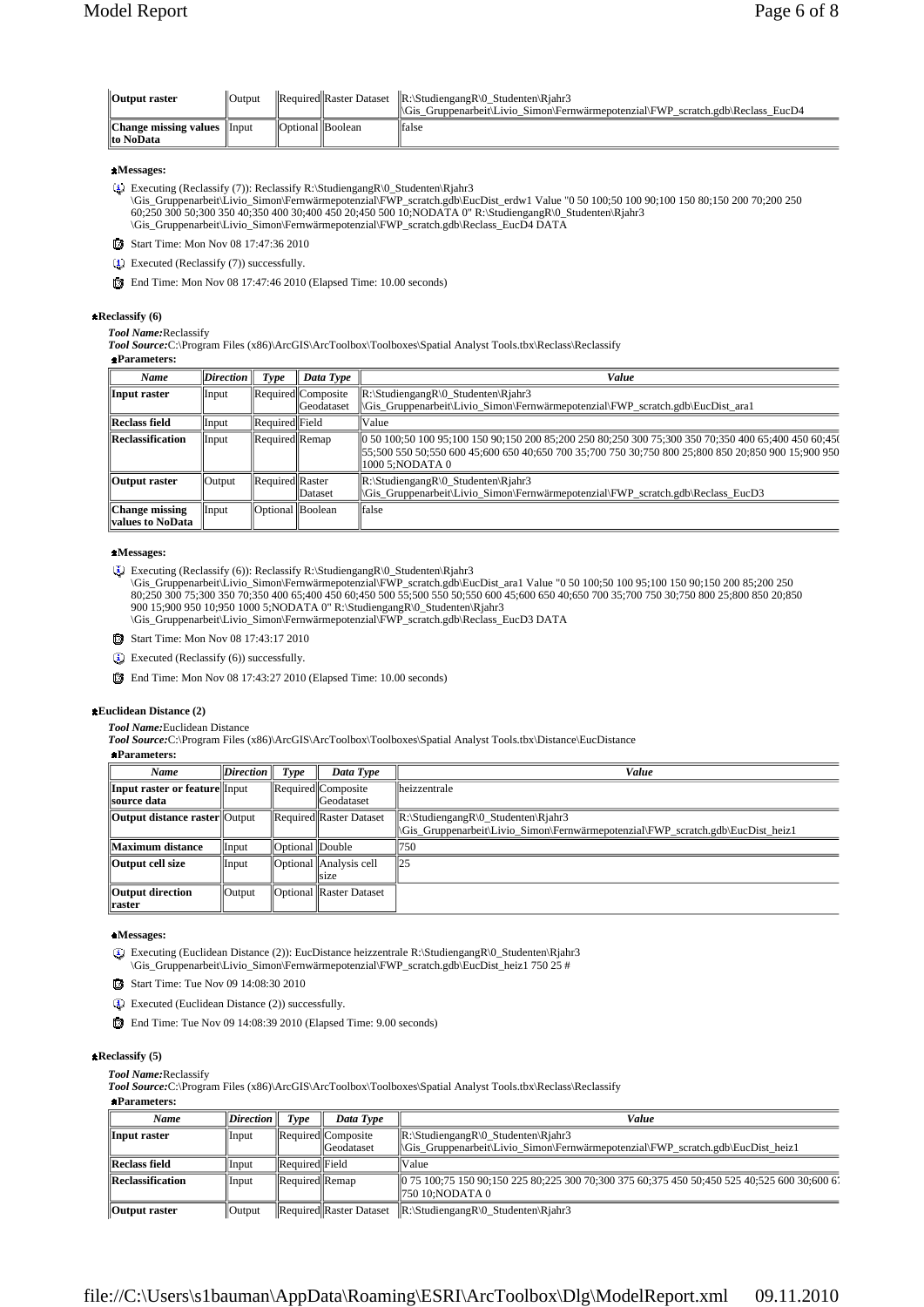| Output raster                                    | 'Output |                         | $\Re$ Required Raster Dataset $\Re$ : Studiengang R $\lozenge$ Studenten Right 3<br>$\ \$ Gis Gruppenarbeit\Livio Simon\Fernwärmepotenzial\FWP scratch.gdb\Reclass EucD4 |
|--------------------------------------------------|---------|-------------------------|--------------------------------------------------------------------------------------------------------------------------------------------------------------------------|
| <b>Change missing values</b> Input<br>lto NoData |         | <b>Optional</b> Boolean | false                                                                                                                                                                    |

### **Messages:**

- Executing (Reclassify (7)): Reclassify R:\StudiengangR\0\_Studenten\Rjahr3
- \Gis\_Gruppenarbeit\Livio\_Simon\Fernwärmepotenzial\FWP\_scratch.gdb\EucDist\_erdw1 Value "0 50 100;50 100 90;100 150 80;150 200 70;200 250 60;250 300 50;300 350 40;350 400 30;400 450 20;450 500 10;NODATA 0" R:\StudiengangR\0\_Studenten\Rjahr3 \Gis\_Gruppenarbeit\Livio\_Simon\Fernwärmepotenzial\FWP\_scratch.gdb\Reclass\_EucD4 DATA
- Start Time: Mon Nov 08 17:47:36 2010
- Executed (Reclassify (7)) successfully.
- End Time: Mon Nov 08 17:47:46 2010 (Elapsed Time: 10.00 seconds)

### **Reclassify (6)**

#### *Tool Name:*Reclassify

*Tool Source:*C:\Program Files (x86)\ArcGIS\ArcToolbox\Toolboxes\Spatial Analyst Tools.tbx\Reclass\Reclassify

**Parameters:**

| Name                                        | <b>Direction</b> | Type               | Data Type                                  | Value                                                                                                                                                                                                                          |
|---------------------------------------------|------------------|--------------------|--------------------------------------------|--------------------------------------------------------------------------------------------------------------------------------------------------------------------------------------------------------------------------------|
| Input raster                                | Input            |                    | Required  Composite <br><b>IGeodataset</b> | $\mathbb{R}\setminus$ Studiengang $\mathbb{R}\setminus 0$ _Studenten $\setminus$ Rjahr3<br>\Gis Gruppenarbeit\Livio Simon\Fernwärmepotenzial\FWP scratch.gdb\EucDist ara1                                                      |
| Reclass field                               | Input            | Required Field     |                                            | Value                                                                                                                                                                                                                          |
| <b>Reclassification</b>                     | Input            | Required Remap     |                                            | 0 50 100;50 100 95;100 150 90;150 200 85;200 250 80;250 300 75;300 350 70;350 400 65;400 450 60;45(<br>  55:500 550 50:550 600 45:600 650 40:650 700 35:700 750 30:750 800 25:800 850 20:850 900 15:900 950<br>1000 5:NODATA 0 |
| Output raster                               | Output           | Required Raster    | <b>IDataset</b>                            | $\mathbb{R}$ :\StudiengangR\0 Studenten\Rjahr3<br>  Gis_Gruppenarbeit Livio_Simon Fernwärmepotenzial FWP_scratch.gdb Reclass EucD3                                                                                             |
| <b>Change missing</b><br>  values to NoData | Input            | Optional   Boolean |                                            | <b>false</b>                                                                                                                                                                                                                   |

#### **Messages:**

Executing (Reclassify (6)): Reclassify R:\StudiengangR\0\_Studenten\Rjahr3

\Gis\_Gruppenarbeit\Livio\_Simon\Fernwärmepotenzial\FWP\_scratch.gdb\EucDist\_ara1 Value "0 50 100;50 100 95;100 150 90;150 200 85;200 250 80;250 300 75;300 350 70;350 400 65;400 450 60;450 500 55;500 550 50;550 600 45;600 650 40;650 700 35;700 750 30;750 800 25;800 850 20;850 900 15;900 950 10;950 1000 5;NODATA 0" R:\StudiengangR\0\_Studenten\Rjahr3 \Gis\_Gruppenarbeit\Livio\_Simon\Fernwärmepotenzial\FWP\_scratch.gdb\Reclass\_EucD3 DATA

- 
- Start Time: Mon Nov 08 17:43:17 2010
- Executed (Reclassify (6)) successfully.
- End Time: Mon Nov 08 17:43:27 2010 (Elapsed Time: 10.00 seconds)

### **Euclidean Distance (2)**

*Tool Name:*Euclidean Distance

*Tool Source:*C:\Program Files (x86)\ArcGIS\ArcToolbox\Toolboxes\Spatial Analyst Tools.tbx\Distance\EucDistance

**Parameters:**

| Name                                                | <i>Direction</i> | Type             | Data Type                                | Value                                                                                                                                                                     |
|-----------------------------------------------------|------------------|------------------|------------------------------------------|---------------------------------------------------------------------------------------------------------------------------------------------------------------------------|
| Input raster or feature Input<br><b>Source data</b> |                  |                  | Required  Composite<br><b>Geodataset</b> | lheizzentrale                                                                                                                                                             |
| <b>Output distance raster</b> Output                |                  |                  | Required Raster Dataset                  | $\mathbb{R}\setminus$ Studiengang $\mathbb{R}\setminus 0$ _Studenten $\setminus$ Rjahr3<br>Gis Gruppenarbeit\Livio Simon\Fernwärmepotenzial\FWP scratch.gdb\EucDist heiz1 |
| Maximum distance                                    | Input            | Optional  Double |                                          | 750                                                                                                                                                                       |
| Output cell size                                    | Input            |                  | Optional   Analysis cell<br>size         | ll25                                                                                                                                                                      |
| Output direction<br><b>Traster</b>                  | Output           |                  | Optional Raster Dataset                  |                                                                                                                                                                           |

### **Messages:**

Executing (Euclidean Distance (2)): EucDistance heizzentrale R:\StudiengangR\0\_Studenten\Rjahr3 \Gis\_Gruppenarbeit\Livio\_Simon\Fernwärmepotenzial\FWP\_scratch.gdb\EucDist\_heiz1 750 25 #

- Start Time: Tue Nov 09 14:08:30 2010
- Executed (Euclidean Distance (2)) successfully.
- End Time: Tue Nov 09 14:08:39 2010 (Elapsed Time: 9.00 seconds)

#### **Reclassify (5)**

*Tool Name:*Reclassify

*Tool Source:*C:\Program Files (x86)\ArcGIS\ArcToolbox\Toolboxes\Spatial Analyst Tools.tbx\Reclass\Reclassify

**Parameters:**

| Name                    | $\mathbf{D}$ <i>irection</i> | Type                  | Data Type                                                                | Value                                                                                                                                                                 |
|-------------------------|------------------------------|-----------------------|--------------------------------------------------------------------------|-----------------------------------------------------------------------------------------------------------------------------------------------------------------------|
| Input raster            | Input                        |                       | $\left \right $ Required $\left \right $ Composite<br><b>C</b> eodataset | $\mathbb{R}:\$ Studiengang $\mathbb{R}\setminus 0$ _Studenten $\mathbb{R}$ jahr3<br>  \Gis_Gruppenarbeit\Livio_Simon\Fernwärmepotenzial\FWP_scratch.gdb\EucDist_heiz1 |
| <b>Reclass field</b>    | Input                        | <b>Required Field</b> |                                                                          | Value                                                                                                                                                                 |
| <b>Reclassification</b> | Input                        | Required Remap        |                                                                          | $\parallel$ 0 75 100:75 150 90:150 225 80:225 300 70:300 375 60:375 450 50:450 525 40:525 600 30:600 6<br>  750 10:NODATA 0                                           |
| <b>Output raster</b>    | $\sqrt{\frac{1}{10}}$        |                       |                                                                          | Required  Raster Dataset   R:\StudiengangR\0_Studenten\Rjahr3                                                                                                         |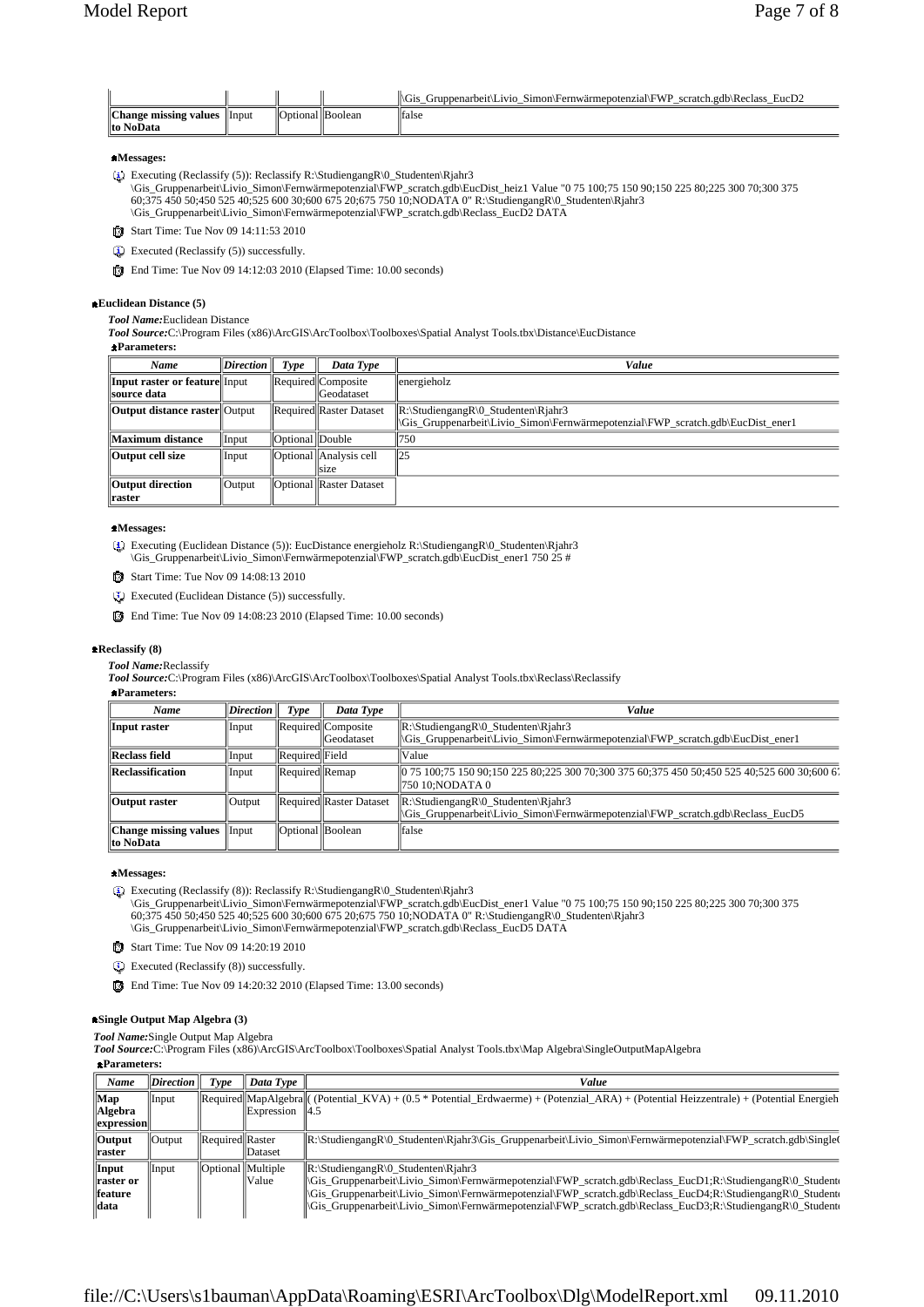|                       |                |                              | scratch.gdb\Reclass L<br>$EucD^{\sim}$<br>Simon\Fernwärmepotenzial\FWP<br><i>i r</i> uppenarbeit\Livio N.<br>\G1. |
|-----------------------|----------------|------------------------------|-------------------------------------------------------------------------------------------------------------------|
| Change missing values | <b>Illnput</b> | llО<br>nti∩nal<br>. <i>.</i> |                                                                                                                   |
| lto NoData            |                |                              |                                                                                                                   |

### **Messages:**

Executing (Reclassify (5)): Reclassify R:\StudiengangR\0\_Studenten\Rjahr3

\Gis\_Gruppenarbeit\Livio\_Simon\Fernwärmepotenzial\FWP\_scratch.gdb\EucDist\_heiz1 Value "0 75 100;75 150 90;150 225 80;225 300 70;300 375<br>60;375 450 50;450 525 40;525 600 30;600 675 20;675 750 10;NODATA 0" R:\StudiengangR\0\_ \Gis\_Gruppenarbeit\Livio\_Simon\Fernwärmepotenzial\FWP\_scratch.gdb\Reclass\_EucD2 DATA

Start Time: Tue Nov 09 14:11:53 2010

- Executed (Reclassify (5)) successfully.
- End Time: Tue Nov 09 14:12:03 2010 (Elapsed Time: 10.00 seconds)

### **Euclidean Distance (5)**

*Tool Name:*Euclidean Distance

*Tool Source:*C:\Program Files (x86)\ArcGIS\ArcToolbox\Toolboxes\Spatial Analyst Tools.tbx\Distance\EucDistance

### **Parameters:**

| Name                                                  | $\textit{Direction}$ | Type              | Data Type                               | Value                                                                                                                            |
|-------------------------------------------------------|----------------------|-------------------|-----------------------------------------|----------------------------------------------------------------------------------------------------------------------------------|
| <b>Input raster or feature</b> Input<br>  source data |                      |                   | Required Composite<br><b>Geodataset</b> | energieholz                                                                                                                      |
| <b>Output distance raster</b> Output                  |                      |                   | Required  Raster Dataset                | $\mathbb{R}$ :\StudiengangR\0 Studenten\Rjahr3<br>Gis Gruppenarbeit\Livio Simon\Fernwärmepotenzial\FWP scratch.gdb\EucDist ener1 |
| Maximum distance                                      | Input                | Optional   Double |                                         | 750                                                                                                                              |
| Output cell size                                      | Input                |                   | Optional Analysis cell<br>size          | 125                                                                                                                              |
| Output direction<br>  raster                          | Output               |                   | <b>Optional Raster Dataset</b>          |                                                                                                                                  |

### **Messages:**

Executing (Euclidean Distance (5)): EucDistance energieholz R:\StudiengangR\0\_Studenten\Rjahr3 \Gis\_Gruppenarbeit\Livio\_Simon\Fernwärmepotenzial\FWP\_scratch.gdb\EucDist\_ener1 750 25 #

Start Time: Tue Nov 09 14:08:13 2010

- Executed (Euclidean Distance (5)) successfully.
- End Time: Tue Nov 09 14:08:23 2010 (Elapsed Time: 10.00 seconds)

#### **Reclassify (8)**

*Tool Name:*Reclassify

*Tool Source:*C:\Program Files (x86)\ArcGIS\ArcToolbox\Toolboxes\Spatial Analyst Tools.tbx\Reclass\Reclassify

### **Parameters:**

| Name                                       | $\mathbf{Direction}$ | Tvpe             | Data Type                               | Value                                                                                                                                                                      |
|--------------------------------------------|----------------------|------------------|-----------------------------------------|----------------------------------------------------------------------------------------------------------------------------------------------------------------------------|
| Input raster                               | Input                |                  | Required Composite<br><b>Geodataset</b> | $\mathbb{R}\setminus$ Studiengang $\mathbb{R}\setminus 0$ _Studenten $\mathbb{R}$ jahr3<br> Gis_Gruppenarbeit\Livio_Simon\Fernwärmepotenzial\FWP_scratch.gdb\EucDist_ener1 |
| <b>Reclass field</b>                       | Input                | Required Field   |                                         | Value                                                                                                                                                                      |
| <b>Reclassification</b>                    | Input                | Required Remap   |                                         | 0 75 100;75 150 90;150 225 80;225 300 70;300 375 60;375 450 50;450 525 40;525 600 30;600 6<br>750 10:NODATA 0                                                              |
| Output raster                              | Output               |                  | Required Raster Dataset                 | $\mathbb{R}$ :\StudiengangR\0 Studenten\Right3<br>Gis Gruppenarbeit\Livio Simon\Fernwärmepotenzial\FWP scratch.gdb\Reclass EucD5                                           |
| <b>Change missing values</b><br>lto NoData | $\ $ Input           | Optional Boolean |                                         | false                                                                                                                                                                      |

#### **Messages:**

Executing (Reclassify (8)): Reclassify R:\StudiengangR\0\_Studenten\Rjahr3

\Gis\_Gruppenarbeit\Livio\_Simon\Fernwärmepotenzial\FWP\_scratch.gdb\EucDist\_ener1 Value "0 75 100;75 150 90;150 225 80;225 300 70;300 375<br>60;375 450 50;450 525 40;525 600 30;600 675 20;675 750 10;NODATA 0" R:\StudiengangR\0\_ \Gis\_Gruppenarbeit\Livio\_Simon\Fernwärmepotenzial\FWP\_scratch.gdb\Reclass\_EucD5 DATA

Start Time: Tue Nov 09 14:20:19 2010

Executed (Reclassify (8)) successfully.

End Time: Tue Nov 09 14:20:32 2010 (Elapsed Time: 13.00 seconds)

### **Single Output Map Algebra (3)**

*Tool Name:*Single Output Map Algebra

*Tool Source:*C:\Program Files (x86)\ArcGIS\ArcToolbox\Toolboxes\Spatial Analyst Tools.tbx\Map Algebra\SingleOutputMapAlgebra

**Parameters:**

| Name              | $\vert$ <i>Direction</i> | Type                | Data Type         | Value                                                                                                                                                                                                        |
|-------------------|--------------------------|---------------------|-------------------|--------------------------------------------------------------------------------------------------------------------------------------------------------------------------------------------------------------|
| Map               | Input                    |                     |                   | $\text{[Required][MapAlgebra]}$ (Potential KVA) + (0.5 * Potential Erdwaerme) + (Potenzial ARA) + (Potential Heizzentrale) + (Potential Energieh                                                             |
| <b>Algebra</b>    |                          |                     | <b>Expression</b> | 14.5                                                                                                                                                                                                         |
| expression        |                          |                     |                   |                                                                                                                                                                                                              |
| <b>Output</b>     | <b>Output</b>            | Required Raster     |                   | R:\StudiengangR\0_Studenten\Rjahr3\Gis_Gruppenarbeit\Livio_Simon\Fernwärmepotenzial\FWP_scratch.gdb\Single(                                                                                                  |
| <b>Traster</b>    |                          |                     | <b>Dataset</b>    |                                                                                                                                                                                                              |
| Input             | Input                    | Optional   Multiple |                   | $\mathbb{R}$ :\StudiengangR\0 Studenten\Right3                                                                                                                                                               |
| <b>Traster or</b> |                          |                     | Value             | Studengang R\0_Studentil\Livio_Simon\Fernwärmepotenzial\FWP_scratch.gdb\Reclass_EucD1;R:\Studiengang R\0_Studentil\Rivio_Gimon\Fernwärmepotenzial\FWP_scratch.gdb\Reclass_EucD1;R:\Studiengang R\0_Studentil |
| <b>feature</b>    |                          |                     |                   | Gis_Gruppenarbeit\Livio_Simon\Fernwärmepotenzial\FWP_scratch.gdb\Reclass_EucD4;R:\StudiengangR\0_Studente                                                                                                    |
| data              |                          |                     |                   | Gis_Gruppenarbeit Livio_Simon Fernwärmepotenzial FWP_scratch.gdb Reclass_EucD3;R: StudiengangR 0_Studente                                                                                                    |